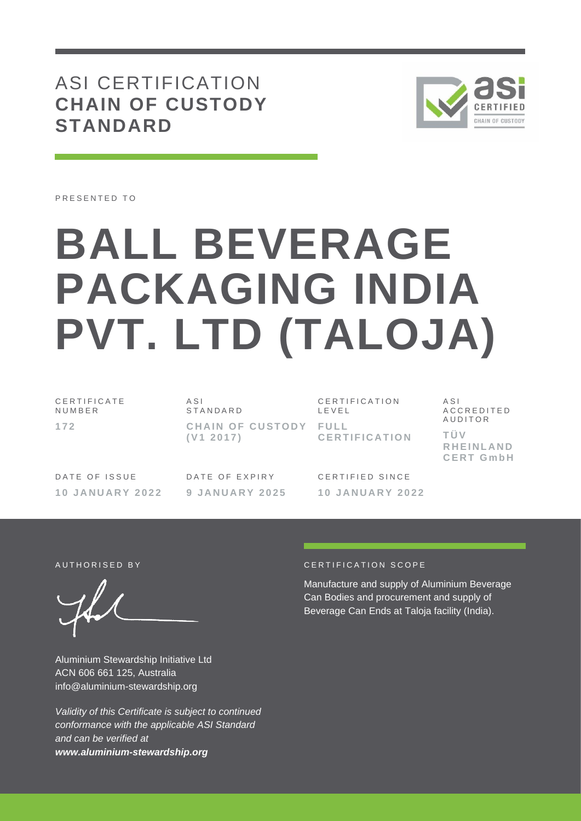# ASI CERTIFICATION **CHAIN OF CUSTODY STANDARD**



PRESENTED TO

# **BALL BEVERAGE PACKAGING INDIA PVT. LTD (TALOJA)**

C E R T I F I C A T E N U M B E R **1 7 2**

A S I **STANDARD CHAIN OF CUSTODY FULL ( V1 2 0 1 7 )**

CERTIFICATION L E V E L **C E R T I F I C A T I O N**

A S I A C C R E D I T E D **AUDITOR T Ü V R H E I N L A N D C E R T G m b H**

DATE OF ISSUE **1 0 J A N U A R Y 2 0 2 2** DATE OF EXPIRY **9 J A N U A R Y 2 0 2 5** C F R T I F I F D S I N C F **1 0 J A N U A R Y 2 0 2 2**

Aluminium Stewardship Initiative Ltd ACN 606 661 125, Australia info@aluminium-stewardship.org

*Validity of this Certificate is subject to continued conformance with the applicable ASI Standard and can be verified at www.aluminium-stewardship.org*

## A UT HORISED BY A RESERVE TO A RESERVE THE CONTROL OF A THE ORIGINAL CONTROL OF A THE ORIGINAL CONTROL OF A TH

Manufacture and supply of Aluminium Beverage Can Bodies and procurement and supply of Beverage Can Ends at Taloja facility (India).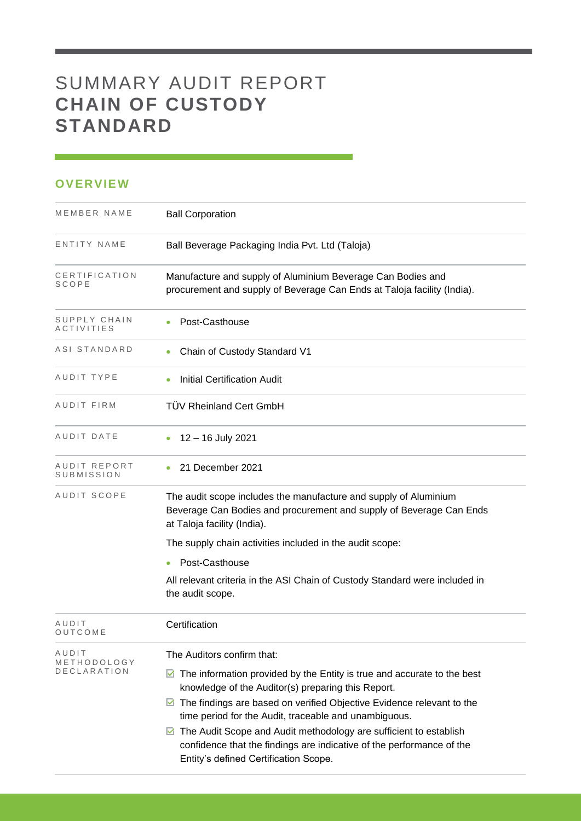# SUMMARY AUDIT REPORT **CHAIN OF CUSTODY STANDARD**

## **OVERVIEW**

| MEMBER NAME                | <b>Ball Corporation</b>                                                                                                                                                                                                                                                                                                                                                |
|----------------------------|------------------------------------------------------------------------------------------------------------------------------------------------------------------------------------------------------------------------------------------------------------------------------------------------------------------------------------------------------------------------|
| ENTITY NAME                | Ball Beverage Packaging India Pvt. Ltd (Taloja)                                                                                                                                                                                                                                                                                                                        |
| CERTIFICATION<br>SCOPE     | Manufacture and supply of Aluminium Beverage Can Bodies and<br>procurement and supply of Beverage Can Ends at Taloja facility (India).                                                                                                                                                                                                                                 |
| SUPPLY CHAIN<br>ACTIVITIES | Post-Casthouse                                                                                                                                                                                                                                                                                                                                                         |
| ASI STANDARD               | Chain of Custody Standard V1                                                                                                                                                                                                                                                                                                                                           |
| AUDIT TYPE                 | <b>Initial Certification Audit</b>                                                                                                                                                                                                                                                                                                                                     |
| AUDIT FIRM                 | <b>TÜV Rheinland Cert GmbH</b>                                                                                                                                                                                                                                                                                                                                         |
| AUDIT DATE                 | 12 - 16 July 2021                                                                                                                                                                                                                                                                                                                                                      |
| AUDIT REPORT<br>SUBMISSION | 21 December 2021                                                                                                                                                                                                                                                                                                                                                       |
| AUDIT SCOPE                | The audit scope includes the manufacture and supply of Aluminium<br>Beverage Can Bodies and procurement and supply of Beverage Can Ends<br>at Taloja facility (India).                                                                                                                                                                                                 |
|                            | The supply chain activities included in the audit scope:                                                                                                                                                                                                                                                                                                               |
|                            | Post-Casthouse                                                                                                                                                                                                                                                                                                                                                         |
|                            | All relevant criteria in the ASI Chain of Custody Standard were included in<br>the audit scope.                                                                                                                                                                                                                                                                        |
| AUDIT<br>OUTCOME           | Certification                                                                                                                                                                                                                                                                                                                                                          |
| AUDIT<br>METHODOLOGY       | The Auditors confirm that:                                                                                                                                                                                                                                                                                                                                             |
| DECLARATION                | $\triangleright$ The information provided by the Entity is true and accurate to the best<br>knowledge of the Auditor(s) preparing this Report.<br>$\blacksquare$ The findings are based on verified Objective Evidence relevant to the<br>time period for the Audit, traceable and unambiguous.<br>◘ The Audit Scope and Audit methodology are sufficient to establish |
|                            | confidence that the findings are indicative of the performance of the<br>Entity's defined Certification Scope.                                                                                                                                                                                                                                                         |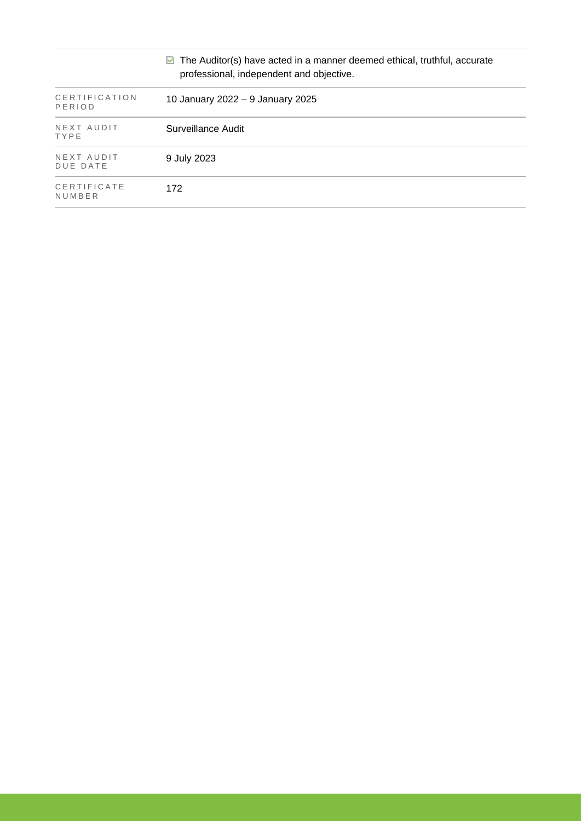| $\triangleright$ The Auditor(s) have acted in a manner deemed ethical, truthful, accurate<br>professional, independent and objective. |                                  |  |  |
|---------------------------------------------------------------------------------------------------------------------------------------|----------------------------------|--|--|
| CERTIFICATION<br>PERIOD                                                                                                               | 10 January 2022 - 9 January 2025 |  |  |
| NEXT AUDIT<br>TYPE                                                                                                                    | Surveillance Audit               |  |  |
| NEXT AUDIT<br>DUE DATE                                                                                                                | 9 July 2023                      |  |  |
| CERTIFICATE<br>NUMBER                                                                                                                 | 172                              |  |  |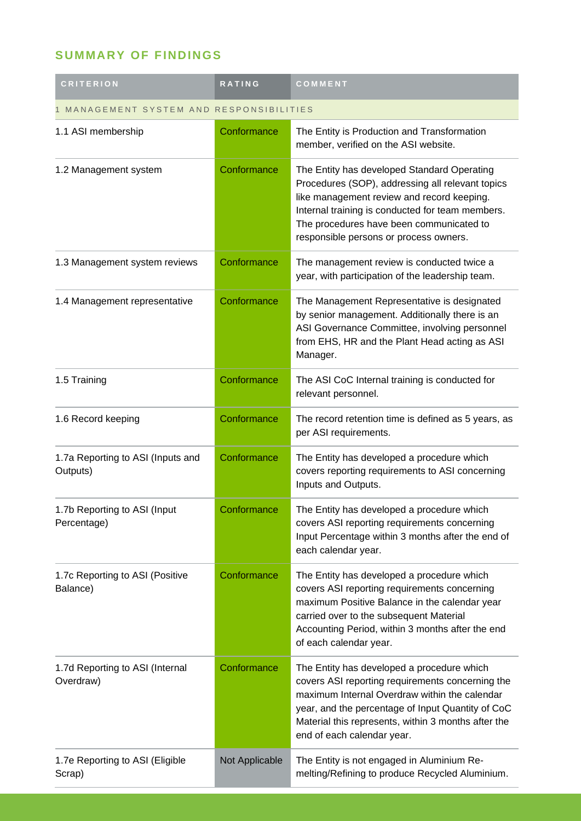## **SUMMARY OF FINDINGS**

| <b>CRITERION</b>                              | RATING         | COMMENT                                                                                                                                                                                                                                                                                   |  |
|-----------------------------------------------|----------------|-------------------------------------------------------------------------------------------------------------------------------------------------------------------------------------------------------------------------------------------------------------------------------------------|--|
| MANAGEMENT SYSTEM AND RESPONSIBILITIES        |                |                                                                                                                                                                                                                                                                                           |  |
| 1.1 ASI membership                            | Conformance    | The Entity is Production and Transformation<br>member, verified on the ASI website.                                                                                                                                                                                                       |  |
| 1.2 Management system                         | Conformance    | The Entity has developed Standard Operating<br>Procedures (SOP), addressing all relevant topics<br>like management review and record keeping.<br>Internal training is conducted for team members.<br>The procedures have been communicated to<br>responsible persons or process owners.   |  |
| 1.3 Management system reviews                 | Conformance    | The management review is conducted twice a<br>year, with participation of the leadership team.                                                                                                                                                                                            |  |
| 1.4 Management representative                 | Conformance    | The Management Representative is designated<br>by senior management. Additionally there is an<br>ASI Governance Committee, involving personnel<br>from EHS, HR and the Plant Head acting as ASI<br>Manager.                                                                               |  |
| 1.5 Training                                  | Conformance    | The ASI CoC Internal training is conducted for<br>relevant personnel.                                                                                                                                                                                                                     |  |
| 1.6 Record keeping                            | Conformance    | The record retention time is defined as 5 years, as<br>per ASI requirements.                                                                                                                                                                                                              |  |
| 1.7a Reporting to ASI (Inputs and<br>Outputs) | Conformance    | The Entity has developed a procedure which<br>covers reporting requirements to ASI concerning<br>Inputs and Outputs.                                                                                                                                                                      |  |
| 1.7b Reporting to ASI (Input<br>Percentage)   | Conformance    | The Entity has developed a procedure which<br>covers ASI reporting requirements concerning<br>Input Percentage within 3 months after the end of<br>each calendar year.                                                                                                                    |  |
| 1.7c Reporting to ASI (Positive<br>Balance)   | Conformance    | The Entity has developed a procedure which<br>covers ASI reporting requirements concerning<br>maximum Positive Balance in the calendar year<br>carried over to the subsequent Material<br>Accounting Period, within 3 months after the end<br>of each calendar year.                      |  |
| 1.7d Reporting to ASI (Internal<br>Overdraw)  | Conformance    | The Entity has developed a procedure which<br>covers ASI reporting requirements concerning the<br>maximum Internal Overdraw within the calendar<br>year, and the percentage of Input Quantity of CoC<br>Material this represents, within 3 months after the<br>end of each calendar year. |  |
| 1.7e Reporting to ASI (Eligible<br>Scrap)     | Not Applicable | The Entity is not engaged in Aluminium Re-<br>melting/Refining to produce Recycled Aluminium.                                                                                                                                                                                             |  |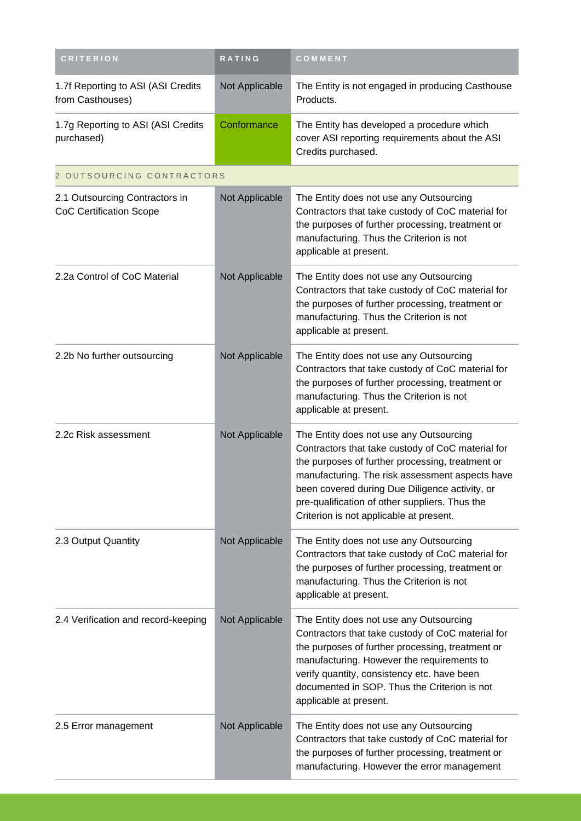| <b>CRITERION</b>                                                 | RATING         | COMMENT                                                                                                                                                                                                                                                                                                                                            |
|------------------------------------------------------------------|----------------|----------------------------------------------------------------------------------------------------------------------------------------------------------------------------------------------------------------------------------------------------------------------------------------------------------------------------------------------------|
| 1.7f Reporting to ASI (ASI Credits<br>from Casthouses)           | Not Applicable | The Entity is not engaged in producing Casthouse<br>Products.                                                                                                                                                                                                                                                                                      |
| 1.7g Reporting to ASI (ASI Credits<br>purchased)                 | Conformance    | The Entity has developed a procedure which<br>cover ASI reporting requirements about the ASI<br>Credits purchased.                                                                                                                                                                                                                                 |
| 2 OUTSOURCING CONTRACTORS                                        |                |                                                                                                                                                                                                                                                                                                                                                    |
| 2.1 Outsourcing Contractors in<br><b>CoC Certification Scope</b> | Not Applicable | The Entity does not use any Outsourcing<br>Contractors that take custody of CoC material for<br>the purposes of further processing, treatment or<br>manufacturing. Thus the Criterion is not<br>applicable at present.                                                                                                                             |
| 2.2a Control of CoC Material                                     | Not Applicable | The Entity does not use any Outsourcing<br>Contractors that take custody of CoC material for<br>the purposes of further processing, treatment or<br>manufacturing. Thus the Criterion is not<br>applicable at present.                                                                                                                             |
| 2.2b No further outsourcing                                      | Not Applicable | The Entity does not use any Outsourcing<br>Contractors that take custody of CoC material for<br>the purposes of further processing, treatment or<br>manufacturing. Thus the Criterion is not<br>applicable at present.                                                                                                                             |
| 2.2c Risk assessment                                             | Not Applicable | The Entity does not use any Outsourcing<br>Contractors that take custody of CoC material for<br>the purposes of further processing, treatment or<br>manufacturing. The risk assessment aspects have<br>been covered during Due Diligence activity, or<br>pre-qualification of other suppliers. Thus the<br>Criterion is not applicable at present. |
| 2.3 Output Quantity                                              | Not Applicable | The Entity does not use any Outsourcing<br>Contractors that take custody of CoC material for<br>the purposes of further processing, treatment or<br>manufacturing. Thus the Criterion is not<br>applicable at present.                                                                                                                             |
| 2.4 Verification and record-keeping                              | Not Applicable | The Entity does not use any Outsourcing<br>Contractors that take custody of CoC material for<br>the purposes of further processing, treatment or<br>manufacturing. However the requirements to<br>verify quantity, consistency etc. have been<br>documented in SOP. Thus the Criterion is not<br>applicable at present.                            |
| 2.5 Error management                                             | Not Applicable | The Entity does not use any Outsourcing<br>Contractors that take custody of CoC material for<br>the purposes of further processing, treatment or<br>manufacturing. However the error management                                                                                                                                                    |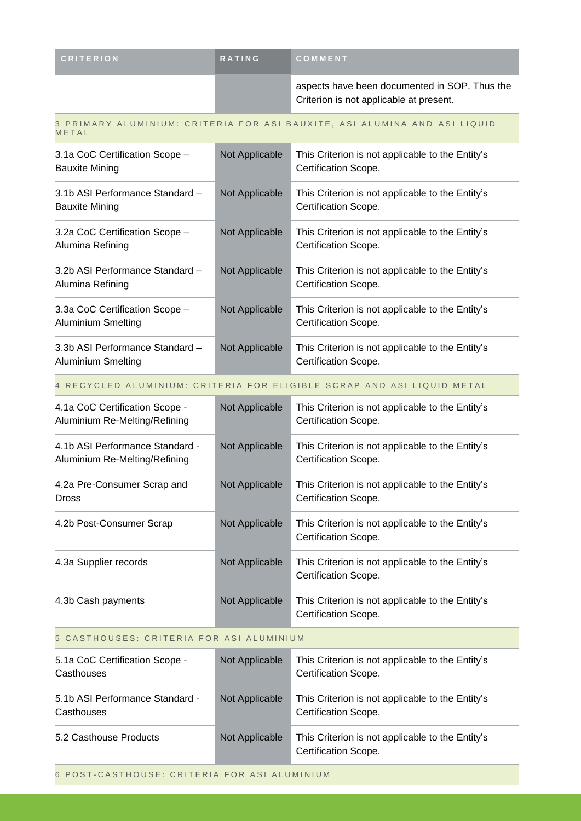| <b>CRITERION</b> | <b>RATING</b> | COMMENT                                                                                  |
|------------------|---------------|------------------------------------------------------------------------------------------|
|                  |               | aspects have been documented in SOP. Thus the<br>Criterion is not applicable at present. |

#### 3 PRIMARY ALUMINIUM: CRITERIA FOR ASI BAUXITE, ASI ALUMINA AND ASI LIQUID **METAL**

| 3.1a CoC Certification Scope -<br><b>Bauxite Mining</b>     | Not Applicable | This Criterion is not applicable to the Entity's<br>Certification Scope. |
|-------------------------------------------------------------|----------------|--------------------------------------------------------------------------|
| 3.1b ASI Performance Standard -<br><b>Bauxite Mining</b>    | Not Applicable | This Criterion is not applicable to the Entity's<br>Certification Scope. |
| 3.2a CoC Certification Scope -<br>Alumina Refining          | Not Applicable | This Criterion is not applicable to the Entity's<br>Certification Scope. |
| 3.2b ASI Performance Standard -<br>Alumina Refining         | Not Applicable | This Criterion is not applicable to the Entity's<br>Certification Scope. |
| 3.3a CoC Certification Scope -<br><b>Aluminium Smelting</b> | Not Applicable | This Criterion is not applicable to the Entity's<br>Certification Scope. |
| 3.3b ASI Performance Standard -<br>Aluminium Smelting       | Not Applicable | This Criterion is not applicable to the Entity's<br>Certification Scope. |

#### 4 RECYCLED ALUMINIUM: CRITERIA FOR ELIGIBLE SCRAP AND ASI LIQUID METAL

| 4.1a CoC Certification Scope -<br>Aluminium Re-Melting/Refining  | Not Applicable | This Criterion is not applicable to the Entity's<br>Certification Scope. |
|------------------------------------------------------------------|----------------|--------------------------------------------------------------------------|
| 4.1b ASI Performance Standard -<br>Aluminium Re-Melting/Refining | Not Applicable | This Criterion is not applicable to the Entity's<br>Certification Scope. |
| 4.2a Pre-Consumer Scrap and<br><b>Dross</b>                      | Not Applicable | This Criterion is not applicable to the Entity's<br>Certification Scope. |
| 4.2b Post-Consumer Scrap                                         | Not Applicable | This Criterion is not applicable to the Entity's<br>Certification Scope. |
| 4.3a Supplier records                                            | Not Applicable | This Criterion is not applicable to the Entity's<br>Certification Scope. |
| 4.3b Cash payments                                               | Not Applicable | This Criterion is not applicable to the Entity's<br>Certification Scope. |

### 5 CASTHOUSES: CRITERIA FOR ASI ALUMINIUM

| 5.1a CoC Certification Scope -<br>Casthouses  | Not Applicable | This Criterion is not applicable to the Entity's<br>Certification Scope. |
|-----------------------------------------------|----------------|--------------------------------------------------------------------------|
| 5.1b ASI Performance Standard -<br>Casthouses | Not Applicable | This Criterion is not applicable to the Entity's<br>Certification Scope. |
| 5.2 Casthouse Products                        | Not Applicable | This Criterion is not applicable to the Entity's<br>Certification Scope. |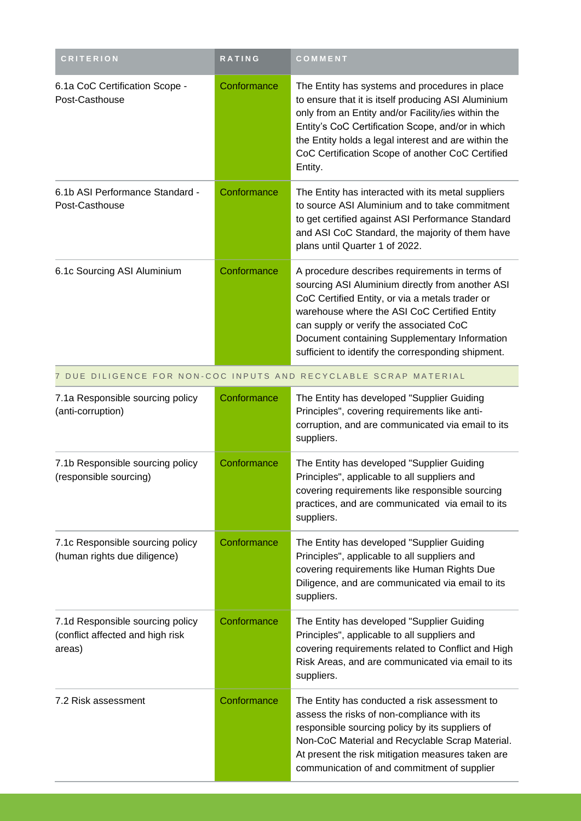| <b>CRITERION</b>                                                               | <b>RATING</b> | COMMENT                                                                                                                                                                                                                                                                                                                                                 |  |
|--------------------------------------------------------------------------------|---------------|---------------------------------------------------------------------------------------------------------------------------------------------------------------------------------------------------------------------------------------------------------------------------------------------------------------------------------------------------------|--|
| 6.1a CoC Certification Scope -<br>Post-Casthouse                               | Conformance   | The Entity has systems and procedures in place<br>to ensure that it is itself producing ASI Aluminium<br>only from an Entity and/or Facility/ies within the<br>Entity's CoC Certification Scope, and/or in which<br>the Entity holds a legal interest and are within the<br>CoC Certification Scope of another CoC Certified<br>Entity.                 |  |
| 6.1b ASI Performance Standard -<br>Post-Casthouse                              | Conformance   | The Entity has interacted with its metal suppliers<br>to source ASI Aluminium and to take commitment<br>to get certified against ASI Performance Standard<br>and ASI CoC Standard, the majority of them have<br>plans until Quarter 1 of 2022.                                                                                                          |  |
| 6.1c Sourcing ASI Aluminium                                                    | Conformance   | A procedure describes requirements in terms of<br>sourcing ASI Aluminium directly from another ASI<br>CoC Certified Entity, or via a metals trader or<br>warehouse where the ASI CoC Certified Entity<br>can supply or verify the associated CoC<br>Document containing Supplementary Information<br>sufficient to identify the corresponding shipment. |  |
|                                                                                |               | 7 DUE DILIGENCE FOR NON-COC INPUTS AND RECYCLABLE SCRAP MATERIAL                                                                                                                                                                                                                                                                                        |  |
| 7.1a Responsible sourcing policy<br>(anti-corruption)                          | Conformance   | The Entity has developed "Supplier Guiding<br>Principles", covering requirements like anti-<br>corruption, and are communicated via email to its<br>suppliers.                                                                                                                                                                                          |  |
| 7.1b Responsible sourcing policy<br>(responsible sourcing)                     | Conformance   | The Entity has developed "Supplier Guiding<br>Principles", applicable to all suppliers and<br>covering requirements like responsible sourcing<br>practices, and are communicated via email to its<br>suppliers.                                                                                                                                         |  |
| 7.1c Responsible sourcing policy<br>(human rights due diligence)               | Conformance   | The Entity has developed "Supplier Guiding<br>Principles", applicable to all suppliers and<br>covering requirements like Human Rights Due<br>Diligence, and are communicated via email to its<br>suppliers.                                                                                                                                             |  |
| 7.1d Responsible sourcing policy<br>(conflict affected and high risk<br>areas) | Conformance   | The Entity has developed "Supplier Guiding<br>Principles", applicable to all suppliers and<br>covering requirements related to Conflict and High<br>Risk Areas, and are communicated via email to its<br>suppliers.                                                                                                                                     |  |
| 7.2 Risk assessment                                                            | Conformance   | The Entity has conducted a risk assessment to<br>assess the risks of non-compliance with its<br>responsible sourcing policy by its suppliers of<br>Non-CoC Material and Recyclable Scrap Material.<br>At present the risk mitigation measures taken are<br>communication of and commitment of supplier                                                  |  |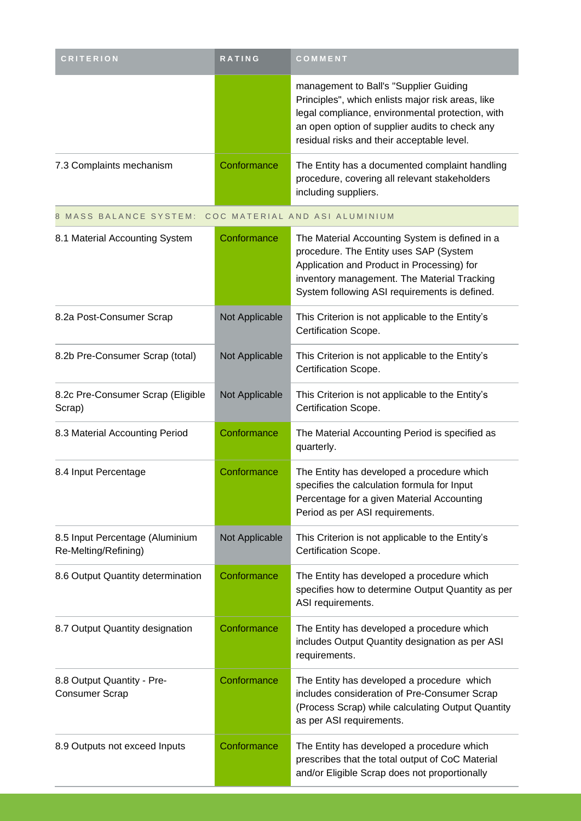| <b>CRITERION</b>                                        | RATING         | COMMENT                                                                                                                                                                                                                                         |
|---------------------------------------------------------|----------------|-------------------------------------------------------------------------------------------------------------------------------------------------------------------------------------------------------------------------------------------------|
|                                                         |                | management to Ball's "Supplier Guiding<br>Principles", which enlists major risk areas, like<br>legal compliance, environmental protection, with<br>an open option of supplier audits to check any<br>residual risks and their acceptable level. |
| 7.3 Complaints mechanism                                | Conformance    | The Entity has a documented complaint handling<br>procedure, covering all relevant stakeholders<br>including suppliers.                                                                                                                         |
| 8 MASS BALANCE SYSTEM: COC MATERIAL AND ASI ALUMINIUM   |                |                                                                                                                                                                                                                                                 |
| 8.1 Material Accounting System                          | Conformance    | The Material Accounting System is defined in a<br>procedure. The Entity uses SAP (System<br>Application and Product in Processing) for<br>inventory management. The Material Tracking<br>System following ASI requirements is defined.          |
| 8.2a Post-Consumer Scrap                                | Not Applicable | This Criterion is not applicable to the Entity's<br>Certification Scope.                                                                                                                                                                        |
| 8.2b Pre-Consumer Scrap (total)                         | Not Applicable | This Criterion is not applicable to the Entity's<br>Certification Scope.                                                                                                                                                                        |
| 8.2c Pre-Consumer Scrap (Eligible<br>Scrap)             | Not Applicable | This Criterion is not applicable to the Entity's<br>Certification Scope.                                                                                                                                                                        |
| 8.3 Material Accounting Period                          | Conformance    | The Material Accounting Period is specified as<br>quarterly.                                                                                                                                                                                    |
| 8.4 Input Percentage                                    | Conformance    | The Entity has developed a procedure which<br>specifies the calculation formula for Input<br>Percentage for a given Material Accounting<br>Period as per ASI requirements.                                                                      |
| 8.5 Input Percentage (Aluminium<br>Re-Melting/Refining) | Not Applicable | This Criterion is not applicable to the Entity's<br>Certification Scope.                                                                                                                                                                        |
| 8.6 Output Quantity determination                       | Conformance    | The Entity has developed a procedure which<br>specifies how to determine Output Quantity as per<br>ASI requirements.                                                                                                                            |
| 8.7 Output Quantity designation                         | Conformance    | The Entity has developed a procedure which<br>includes Output Quantity designation as per ASI<br>requirements.                                                                                                                                  |
| 8.8 Output Quantity - Pre-<br><b>Consumer Scrap</b>     | Conformance    | The Entity has developed a procedure which<br>includes consideration of Pre-Consumer Scrap<br>(Process Scrap) while calculating Output Quantity<br>as per ASI requirements.                                                                     |
| 8.9 Outputs not exceed Inputs                           | Conformance    | The Entity has developed a procedure which<br>prescribes that the total output of CoC Material<br>and/or Eligible Scrap does not proportionally                                                                                                 |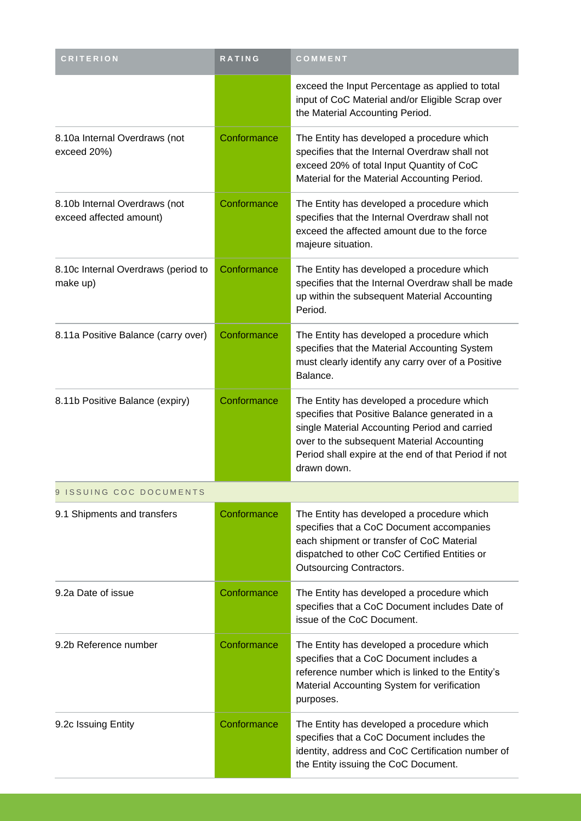| <b>CRITERION</b>                                         | <b>RATING</b> | COMMENT                                                                                                                                                                                                                                                            |
|----------------------------------------------------------|---------------|--------------------------------------------------------------------------------------------------------------------------------------------------------------------------------------------------------------------------------------------------------------------|
|                                                          |               | exceed the Input Percentage as applied to total<br>input of CoC Material and/or Eligible Scrap over<br>the Material Accounting Period.                                                                                                                             |
| 8.10a Internal Overdraws (not<br>exceed 20%)             | Conformance   | The Entity has developed a procedure which<br>specifies that the Internal Overdraw shall not<br>exceed 20% of total Input Quantity of CoC<br>Material for the Material Accounting Period.                                                                          |
| 8.10b Internal Overdraws (not<br>exceed affected amount) | Conformance   | The Entity has developed a procedure which<br>specifies that the Internal Overdraw shall not<br>exceed the affected amount due to the force<br>majeure situation.                                                                                                  |
| 8.10c Internal Overdraws (period to<br>make up)          | Conformance   | The Entity has developed a procedure which<br>specifies that the Internal Overdraw shall be made<br>up within the subsequent Material Accounting<br>Period.                                                                                                        |
| 8.11a Positive Balance (carry over)                      | Conformance   | The Entity has developed a procedure which<br>specifies that the Material Accounting System<br>must clearly identify any carry over of a Positive<br>Balance.                                                                                                      |
| 8.11b Positive Balance (expiry)                          | Conformance   | The Entity has developed a procedure which<br>specifies that Positive Balance generated in a<br>single Material Accounting Period and carried<br>over to the subsequent Material Accounting<br>Period shall expire at the end of that Period if not<br>drawn down. |
| 9 ISSUING COC DOCUMENTS                                  |               |                                                                                                                                                                                                                                                                    |
| 9.1 Shipments and transfers                              | Conformance   | The Entity has developed a procedure which<br>specifies that a CoC Document accompanies<br>each shipment or transfer of CoC Material<br>dispatched to other CoC Certified Entities or<br>Outsourcing Contractors.                                                  |
| 9.2a Date of issue                                       | Conformance   | The Entity has developed a procedure which<br>specifies that a CoC Document includes Date of<br>issue of the CoC Document.                                                                                                                                         |
| 9.2b Reference number                                    | Conformance   | The Entity has developed a procedure which<br>specifies that a CoC Document includes a<br>reference number which is linked to the Entity's<br>Material Accounting System for verification<br>purposes.                                                             |
| 9.2c Issuing Entity                                      | Conformance   | The Entity has developed a procedure which<br>specifies that a CoC Document includes the<br>identity, address and CoC Certification number of<br>the Entity issuing the CoC Document.                                                                              |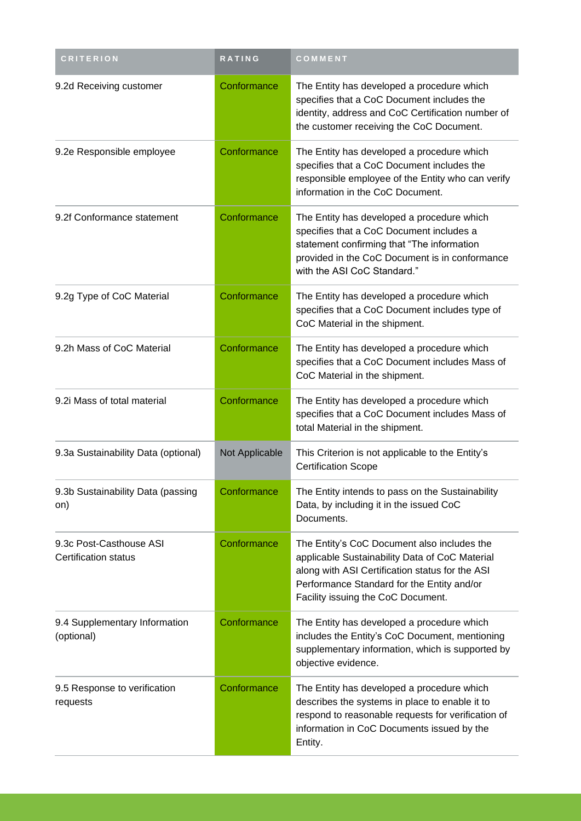| <b>CRITERION</b>                                       | <b>RATING</b>  | COMMENT                                                                                                                                                                                                                              |  |
|--------------------------------------------------------|----------------|--------------------------------------------------------------------------------------------------------------------------------------------------------------------------------------------------------------------------------------|--|
| 9.2d Receiving customer                                | Conformance    | The Entity has developed a procedure which<br>specifies that a CoC Document includes the<br>identity, address and CoC Certification number of<br>the customer receiving the CoC Document.                                            |  |
| 9.2e Responsible employee                              | Conformance    | The Entity has developed a procedure which<br>specifies that a CoC Document includes the<br>responsible employee of the Entity who can verify<br>information in the CoC Document.                                                    |  |
| 9.2f Conformance statement                             | Conformance    | The Entity has developed a procedure which<br>specifies that a CoC Document includes a<br>statement confirming that "The information<br>provided in the CoC Document is in conformance<br>with the ASI CoC Standard."                |  |
| 9.2g Type of CoC Material                              | Conformance    | The Entity has developed a procedure which<br>specifies that a CoC Document includes type of<br>CoC Material in the shipment.                                                                                                        |  |
| 9.2h Mass of CoC Material                              | Conformance    | The Entity has developed a procedure which<br>specifies that a CoC Document includes Mass of<br>CoC Material in the shipment.                                                                                                        |  |
| 9.2i Mass of total material                            | Conformance    | The Entity has developed a procedure which<br>specifies that a CoC Document includes Mass of<br>total Material in the shipment.                                                                                                      |  |
| 9.3a Sustainability Data (optional)                    | Not Applicable | This Criterion is not applicable to the Entity's<br><b>Certification Scope</b>                                                                                                                                                       |  |
| 9.3b Sustainability Data (passing<br>on)               | Conformance    | The Entity intends to pass on the Sustainability<br>Data, by including it in the issued CoC<br>Documents.                                                                                                                            |  |
| 9.3c Post-Casthouse ASI<br><b>Certification status</b> | Conformance    | The Entity's CoC Document also includes the<br>applicable Sustainability Data of CoC Material<br>along with ASI Certification status for the ASI<br>Performance Standard for the Entity and/or<br>Facility issuing the CoC Document. |  |
| 9.4 Supplementary Information<br>(optional)            | Conformance    | The Entity has developed a procedure which<br>includes the Entity's CoC Document, mentioning<br>supplementary information, which is supported by<br>objective evidence.                                                              |  |
| 9.5 Response to verification<br>requests               | Conformance    | The Entity has developed a procedure which<br>describes the systems in place to enable it to<br>respond to reasonable requests for verification of<br>information in CoC Documents issued by the<br>Entity.                          |  |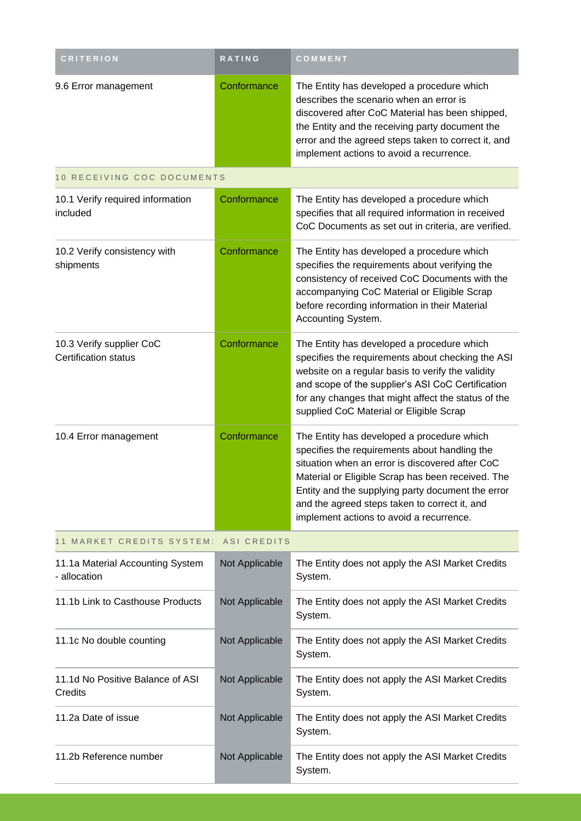| <b>CRITERION</b>                                        | <b>RATING</b>  | COMMENT                                                                                                                                                                                                                                                                                                                                               |
|---------------------------------------------------------|----------------|-------------------------------------------------------------------------------------------------------------------------------------------------------------------------------------------------------------------------------------------------------------------------------------------------------------------------------------------------------|
| 9.6 Error management                                    | Conformance    | The Entity has developed a procedure which<br>describes the scenario when an error is<br>discovered after CoC Material has been shipped,<br>the Entity and the receiving party document the<br>error and the agreed steps taken to correct it, and<br>implement actions to avoid a recurrence.                                                        |
| 10 RECEIVING COC DOCUMENTS                              |                |                                                                                                                                                                                                                                                                                                                                                       |
| 10.1 Verify required information<br>included            | Conformance    | The Entity has developed a procedure which<br>specifies that all required information in received<br>CoC Documents as set out in criteria, are verified.                                                                                                                                                                                              |
| 10.2 Verify consistency with<br>shipments               | Conformance    | The Entity has developed a procedure which<br>specifies the requirements about verifying the<br>consistency of received CoC Documents with the<br>accompanying CoC Material or Eligible Scrap<br>before recording information in their Material<br>Accounting System.                                                                                 |
| 10.3 Verify supplier CoC<br><b>Certification status</b> | Conformance    | The Entity has developed a procedure which<br>specifies the requirements about checking the ASI<br>website on a regular basis to verify the validity<br>and scope of the supplier's ASI CoC Certification<br>for any changes that might affect the status of the<br>supplied CoC Material or Eligible Scrap                                           |
| 10.4 Error management                                   | Conformance    | The Entity has developed a procedure which<br>specifies the requirements about handling the<br>situation when an error is discovered after CoC<br>Material or Eligible Scrap has been received. The<br>Entity and the supplying party document the error<br>and the agreed steps taken to correct it, and<br>implement actions to avoid a recurrence. |
| 11 MARKET CREDITS SYSTEM:                               | ASI CREDITS    |                                                                                                                                                                                                                                                                                                                                                       |
| 11.1a Material Accounting System<br>- allocation        | Not Applicable | The Entity does not apply the ASI Market Credits<br>System.                                                                                                                                                                                                                                                                                           |
| 11.1b Link to Casthouse Products                        | Not Applicable | The Entity does not apply the ASI Market Credits<br>System.                                                                                                                                                                                                                                                                                           |
| 11.1c No double counting                                | Not Applicable | The Entity does not apply the ASI Market Credits<br>System.                                                                                                                                                                                                                                                                                           |
| 11.1d No Positive Balance of ASI<br>Credits             | Not Applicable | The Entity does not apply the ASI Market Credits<br>System.                                                                                                                                                                                                                                                                                           |
| 11.2a Date of issue                                     | Not Applicable | The Entity does not apply the ASI Market Credits<br>System.                                                                                                                                                                                                                                                                                           |
| 11.2b Reference number                                  | Not Applicable | The Entity does not apply the ASI Market Credits<br>System.                                                                                                                                                                                                                                                                                           |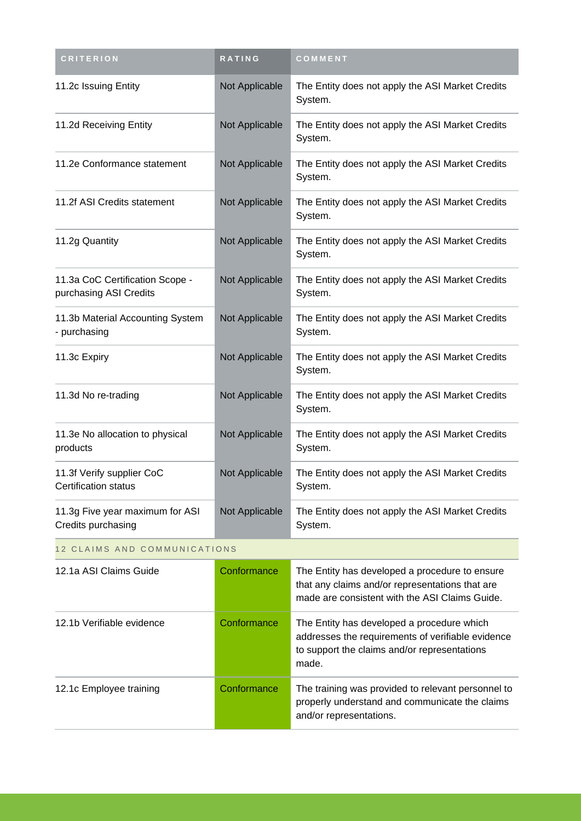| <b>CRITERION</b>                                          | RATING         | COMMENT                                                                                                                                                  |
|-----------------------------------------------------------|----------------|----------------------------------------------------------------------------------------------------------------------------------------------------------|
| 11.2c Issuing Entity                                      | Not Applicable | The Entity does not apply the ASI Market Credits<br>System.                                                                                              |
| 11.2d Receiving Entity                                    | Not Applicable | The Entity does not apply the ASI Market Credits<br>System.                                                                                              |
| 11.2e Conformance statement                               | Not Applicable | The Entity does not apply the ASI Market Credits<br>System.                                                                                              |
| 11.2f ASI Credits statement                               | Not Applicable | The Entity does not apply the ASI Market Credits<br>System.                                                                                              |
| 11.2g Quantity                                            | Not Applicable | The Entity does not apply the ASI Market Credits<br>System.                                                                                              |
| 11.3a CoC Certification Scope -<br>purchasing ASI Credits | Not Applicable | The Entity does not apply the ASI Market Credits<br>System.                                                                                              |
| 11.3b Material Accounting System<br>- purchasing          | Not Applicable | The Entity does not apply the ASI Market Credits<br>System.                                                                                              |
| 11.3c Expiry                                              | Not Applicable | The Entity does not apply the ASI Market Credits<br>System.                                                                                              |
| 11.3d No re-trading                                       | Not Applicable | The Entity does not apply the ASI Market Credits<br>System.                                                                                              |
| 11.3e No allocation to physical<br>products               | Not Applicable | The Entity does not apply the ASI Market Credits<br>System.                                                                                              |
| 11.3f Verify supplier CoC<br><b>Certification status</b>  | Not Applicable | The Entity does not apply the ASI Market Credits<br>System.                                                                                              |
| 11.3g Five year maximum for ASI<br>Credits purchasing     | Not Applicable | The Entity does not apply the ASI Market Credits<br>System.                                                                                              |
| 12 CLAIMS AND COMMUNICATIONS                              |                |                                                                                                                                                          |
| 12.1a ASI Claims Guide                                    | Conformance    | The Entity has developed a procedure to ensure<br>that any claims and/or representations that are<br>made are consistent with the ASI Claims Guide.      |
| 12.1b Verifiable evidence                                 | Conformance    | The Entity has developed a procedure which<br>addresses the requirements of verifiable evidence<br>to support the claims and/or representations<br>made. |
| 12.1c Employee training                                   | Conformance    | The training was provided to relevant personnel to<br>properly understand and communicate the claims<br>and/or representations.                          |